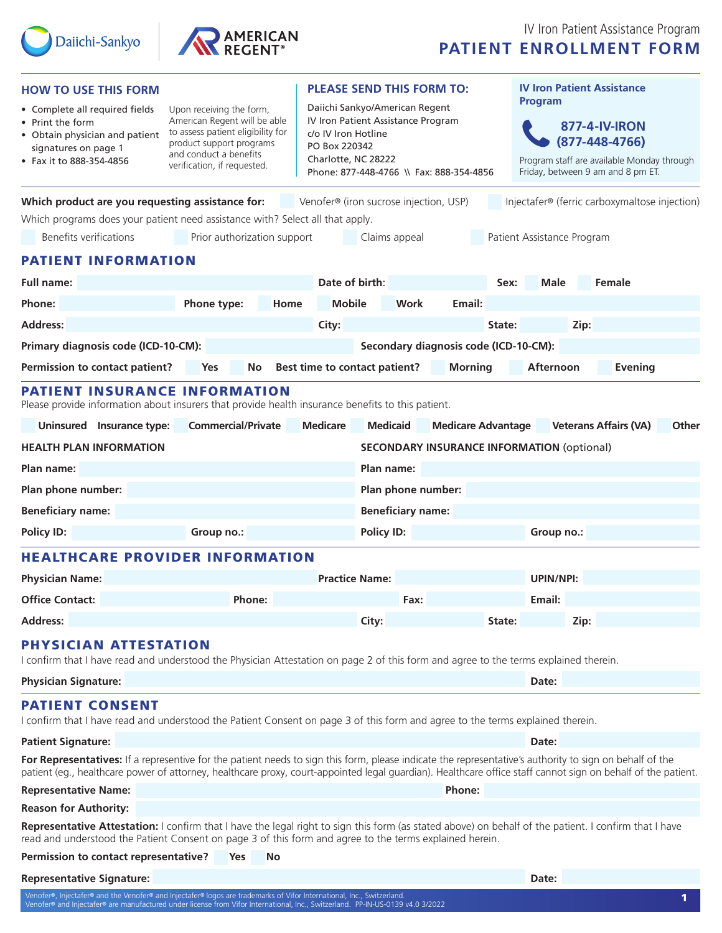



| <b>HOW TO USE THIS FORM</b>                                                                                                                                                                                                                                                                                                    | <b>PLEASE SEND THIS FORM TO:</b> |                                                                                                                                                                                 |                                                   |                           | <b>IV Iron Patient Assistance</b> |                                                                                                                               |                                                           |
|--------------------------------------------------------------------------------------------------------------------------------------------------------------------------------------------------------------------------------------------------------------------------------------------------------------------------------|----------------------------------|---------------------------------------------------------------------------------------------------------------------------------------------------------------------------------|---------------------------------------------------|---------------------------|-----------------------------------|-------------------------------------------------------------------------------------------------------------------------------|-----------------------------------------------------------|
| • Complete all required fields<br>Upon receiving the form,<br>American Regent will be able<br>• Print the form<br>to assess patient eligibility for<br>• Obtain physician and patient<br>product support programs<br>signatures on page 1<br>and conduct a benefits<br>• Fax it to 888-354-4856<br>verification, if requested. |                                  | Daiichi Sankyo/American Regent<br>IV Iron Patient Assistance Program<br>c/o IV Iron Hotline<br>PO Box 220342<br>Charlotte, NC 28222<br>Phone: 877-448-4766 \\ Fax: 888-354-4856 |                                                   |                           |                                   | Program<br>877-4-IV-IRON<br>(877-448-4766)<br>Program staff are available Monday through<br>Friday, between 9 am and 8 pm ET. |                                                           |
| Which product are you requesting assistance for:                                                                                                                                                                                                                                                                               |                                  |                                                                                                                                                                                 | Venofer® (iron sucrose injection, USP)            |                           |                                   |                                                                                                                               | Injectafer <sup>®</sup> (ferric carboxymaltose injection) |
| Which programs does your patient need assistance with? Select all that apply.                                                                                                                                                                                                                                                  |                                  |                                                                                                                                                                                 |                                                   |                           |                                   |                                                                                                                               |                                                           |
| <b>Benefits verifications</b>                                                                                                                                                                                                                                                                                                  | Prior authorization support      |                                                                                                                                                                                 | Claims appeal                                     |                           |                                   | Patient Assistance Program                                                                                                    |                                                           |
| <b>PATIENT INFORMATION</b>                                                                                                                                                                                                                                                                                                     |                                  |                                                                                                                                                                                 |                                                   |                           |                                   |                                                                                                                               |                                                           |
| <b>Full name:</b>                                                                                                                                                                                                                                                                                                              |                                  |                                                                                                                                                                                 | Date of birth:<br>Sex:                            |                           |                                   | Male                                                                                                                          | Female                                                    |
| Phone:                                                                                                                                                                                                                                                                                                                         | Phone type:<br>Home              | <b>Mobile</b>                                                                                                                                                                   | Work                                              | Email:                    |                                   |                                                                                                                               |                                                           |
| <b>Address:</b>                                                                                                                                                                                                                                                                                                                |                                  | City:                                                                                                                                                                           |                                                   |                           | State:                            | Zip:                                                                                                                          |                                                           |
| Primary diagnosis code (ICD-10-CM):                                                                                                                                                                                                                                                                                            |                                  | Secondary diagnosis code (ICD-10-CM):                                                                                                                                           |                                                   |                           |                                   |                                                                                                                               |                                                           |
| Permission to contact patient?                                                                                                                                                                                                                                                                                                 | Yes<br>No                        |                                                                                                                                                                                 | Best time to contact patient?                     | <b>Morning</b>            |                                   | Afternoon                                                                                                                     | <b>Evening</b>                                            |
| <b>PATIENT INSURANCE INFORMATION</b><br>Please provide information about insurers that provide health insurance benefits to this patient.                                                                                                                                                                                      |                                  |                                                                                                                                                                                 |                                                   |                           |                                   |                                                                                                                               |                                                           |
| Uninsured Insurance type:                                                                                                                                                                                                                                                                                                      | <b>Commercial/Private</b>        | <b>Medicare</b>                                                                                                                                                                 | <b>Medicaid</b>                                   | <b>Medicare Advantage</b> |                                   |                                                                                                                               | <b>Veterans Affairs (VA)</b><br>Other                     |
| <b>HEALTH PLAN INFORMATION</b>                                                                                                                                                                                                                                                                                                 |                                  |                                                                                                                                                                                 | <b>SECONDARY INSURANCE INFORMATION (optional)</b> |                           |                                   |                                                                                                                               |                                                           |
| Plan name:                                                                                                                                                                                                                                                                                                                     |                                  | Plan name:                                                                                                                                                                      |                                                   |                           |                                   |                                                                                                                               |                                                           |
| Plan phone number:                                                                                                                                                                                                                                                                                                             |                                  |                                                                                                                                                                                 | Plan phone number:                                |                           |                                   |                                                                                                                               |                                                           |
| <b>Beneficiary name:</b>                                                                                                                                                                                                                                                                                                       | <b>Beneficiary name:</b>         |                                                                                                                                                                                 |                                                   |                           |                                   |                                                                                                                               |                                                           |
| <b>Policy ID:</b>                                                                                                                                                                                                                                                                                                              | Group no.:                       | Policy ID:                                                                                                                                                                      |                                                   |                           |                                   | Group no.:                                                                                                                    |                                                           |
| <b>HEALTHCARE PROVIDER INFORMATION</b>                                                                                                                                                                                                                                                                                         |                                  |                                                                                                                                                                                 |                                                   |                           |                                   |                                                                                                                               |                                                           |
| <b>Physician Name:</b>                                                                                                                                                                                                                                                                                                         |                                  | <b>Practice Name:</b>                                                                                                                                                           |                                                   |                           | <b>UPIN/NPI:</b>                  |                                                                                                                               |                                                           |
| <b>Office Contact:</b>                                                                                                                                                                                                                                                                                                         | Phone:                           |                                                                                                                                                                                 | Fax:                                              |                           |                                   | Email:                                                                                                                        |                                                           |
| <b>Address:</b>                                                                                                                                                                                                                                                                                                                |                                  |                                                                                                                                                                                 | City:                                             |                           | State:                            | Zip:                                                                                                                          |                                                           |
| <b>PHYSICIAN ATTESTATION</b><br>I confirm that I have read and understood the Physician Attestation on page 2 of this form and agree to the terms explained therein.                                                                                                                                                           |                                  |                                                                                                                                                                                 |                                                   |                           |                                   |                                                                                                                               |                                                           |
| <b>Physician Signature:</b>                                                                                                                                                                                                                                                                                                    |                                  |                                                                                                                                                                                 |                                                   |                           |                                   | Date:                                                                                                                         |                                                           |
| <b>PATIENT CONSENT</b><br>I confirm that I have read and understood the Patient Consent on page 3 of this form and agree to the terms explained therein.                                                                                                                                                                       |                                  |                                                                                                                                                                                 |                                                   |                           |                                   |                                                                                                                               |                                                           |
| <b>Patient Signature:</b>                                                                                                                                                                                                                                                                                                      |                                  |                                                                                                                                                                                 |                                                   |                           |                                   | Date:                                                                                                                         |                                                           |
| For Representatives: If a representive for the patient needs to sign this form, please indicate the representative's authority to sign on behalf of the<br>patient (eg., healthcare power of attorney, healthcare proxy, court-appointed legal guardian). Healthcare office staff cannot sign on behalf of the patient.        |                                  |                                                                                                                                                                                 |                                                   |                           |                                   |                                                                                                                               |                                                           |
| <b>Representative Name:</b>                                                                                                                                                                                                                                                                                                    |                                  |                                                                                                                                                                                 |                                                   | Phone:                    |                                   |                                                                                                                               |                                                           |
| <b>Reason for Authority:</b><br>Representative Attestation: I confirm that I have the legal right to sign this form (as stated above) on behalf of the patient. I confirm that I have                                                                                                                                          |                                  |                                                                                                                                                                                 |                                                   |                           |                                   |                                                                                                                               |                                                           |
| read and understood the Patient Consent on page 3 of this form and agree to the terms explained herein.                                                                                                                                                                                                                        |                                  |                                                                                                                                                                                 |                                                   |                           |                                   |                                                                                                                               |                                                           |
| Permission to contact representative?                                                                                                                                                                                                                                                                                          | No<br><b>Yes</b>                 |                                                                                                                                                                                 |                                                   |                           |                                   |                                                                                                                               |                                                           |
| <b>Representative Signature:</b>                                                                                                                                                                                                                                                                                               |                                  |                                                                                                                                                                                 |                                                   |                           |                                   | Date:                                                                                                                         |                                                           |
| Venofer®, Injectafer® and the Venofer® and Injectafer® logos are trademarks of Vifor International, Inc., Switzerland<br>Venofer® and Injectafer® are manufactured under license from Vifor International, Inc., Switzerland. PP-IN-US-0139 v4.0 3/2022                                                                        |                                  |                                                                                                                                                                                 |                                                   |                           |                                   |                                                                                                                               | 1                                                         |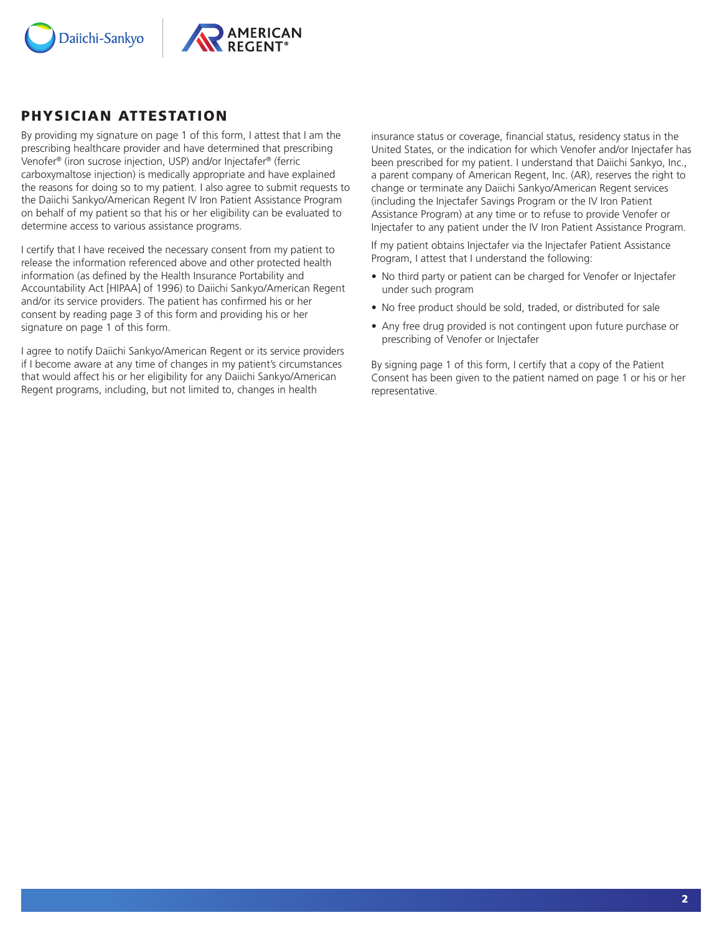



## PHYSICIAN ATTESTATION

By providing my signature on page 1 of this form, I attest that I am the prescribing healthcare provider and have determined that prescribing Venofer® (iron sucrose injection, USP) and/or Injectafer® (ferric carboxymaltose injection) is medically appropriate and have explained the reasons for doing so to my patient. I also agree to submit requests to the Daiichi Sankyo/American Regent IV Iron Patient Assistance Program on behalf of my patient so that his or her eligibility can be evaluated to determine access to various assistance programs.

I certify that I have received the necessary consent from my patient to release the information referenced above and other protected health information (as defined by the Health Insurance Portability and Accountability Act [HIPAA] of 1996) to Daiichi Sankyo/American Regent and/or its service providers. The patient has confirmed his or her consent by reading page 3 of this form and providing his or her signature on page 1 of this form.

I agree to notify Daiichi Sankyo/American Regent or its service providers if I become aware at any time of changes in my patient's circumstances that would affect his or her eligibility for any Daiichi Sankyo/American Regent programs, including, but not limited to, changes in health

insurance status or coverage, financial status, residency status in the United States, or the indication for which Venofer and/or Injectafer has been prescribed for my patient. I understand that Daiichi Sankyo, Inc., a parent company of American Regent, Inc. (AR), reserves the right to change or terminate any Daiichi Sankyo/American Regent services (including the Injectafer Savings Program or the IV Iron Patient Assistance Program) at any time or to refuse to provide Venofer or Injectafer to any patient under the IV Iron Patient Assistance Program.

If my patient obtains Injectafer via the Injectafer Patient Assistance Program, I attest that I understand the following:

- No third party or patient can be charged for Venofer or Injectafer under such program
- No free product should be sold, traded, or distributed for sale
- Any free drug provided is not contingent upon future purchase or prescribing of Venofer or Injectafer

By signing page 1 of this form, I certify that a copy of the Patient Consent has been given to the patient named on page 1 or his or her representative.